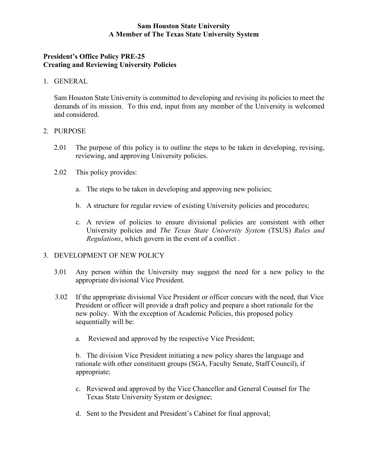## **Sam Houston State University A Member of The Texas State University System**

# **President's Office Policy PRE-25 Creating and Reviewing University Policies**

#### 1. GENERAL

Sam Houston State University is committed to developing and revising its policies to meet the demands of its mission. To this end, input from any member of the University is welcomed and considered.

#### 2. PURPOSE

- 2.01 The purpose of this policy is to outline the steps to be taken in developing, revising, reviewing, and approving University policies.
- 2.02 This policy provides:
	- a. The steps to be taken in developing and approving new policies;
	- b. A structure for regular review of existing University policies and procedures;
	- c. A review of policies to ensure divisional policies are consistent with other University policies and *The Texas State University System* (TSUS) *Rules and Regulations*, which govern in the event of a conflict .

#### 3. DEVELOPMENT OF NEW POLICY

- 3.01 Any person within the University may suggest the need for a new policy to the appropriate divisional Vice President.
- 3.02 If the appropriate divisional Vice President or officer concurs with the need, that Vice President or officer will provide a draft policy and prepare a short rationale for the new policy. With the exception of Academic Policies, this proposed policy sequentially will be:
	- a. Reviewed and approved by the respective Vice President;

b. The division Vice President initiating a new policy shares the language and rationale with other constituent groups (SGA, Faculty Senate, Staff Council), if appropriate;

- c. Reviewed and approved by the Vice Chancellor and General Counsel for The Texas State University System or designee;
- d. Sent to the President and President's Cabinet for final approval;